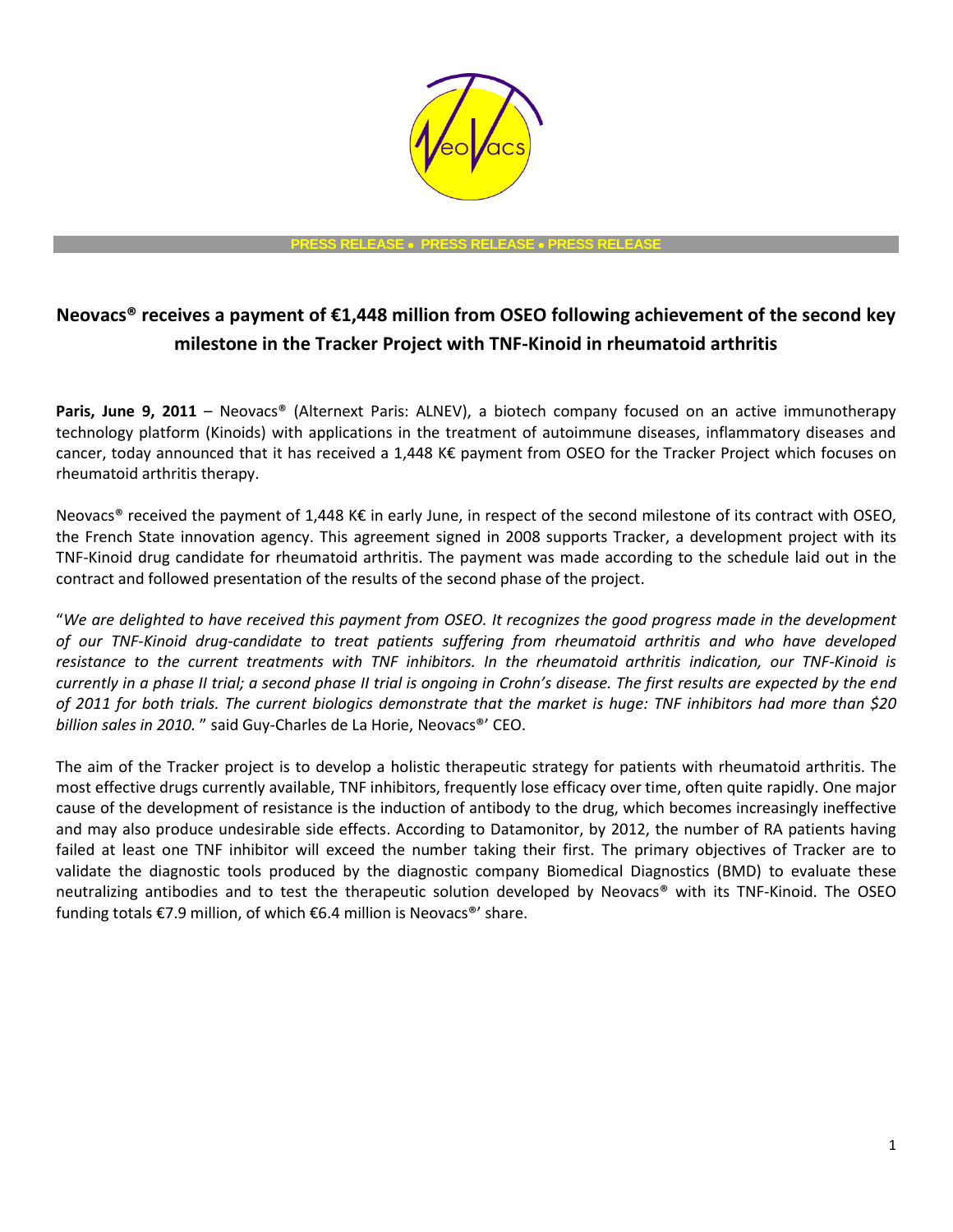

**PRESS RELEASE PRESS RELEASE PRESS RELEASE**

## **Neovacs® receives a payment of €1,448 million from OSEO following achievement of the second key milestone in the Tracker Project with TNF-Kinoid in rheumatoid arthritis**

**Paris, June 9, 2011** – Neovacs® (Alternext Paris: ALNEV), a biotech company focused on an active immunotherapy technology platform (Kinoids) with applications in the treatment of autoimmune diseases, inflammatory diseases and cancer, today announced that it has received a 1,448 K€ payment from OSEO for the Tracker Project which focuses on rheumatoid arthritis therapy.

Neovacs<sup>®</sup> received the payment of 1,448 K€ in early June, in respect of the second milestone of its contract with OSEO, the French State innovation agency. This agreement signed in 2008 supports Tracker, a development project with its TNF-Kinoid drug candidate for rheumatoid arthritis. The payment was made according to the schedule laid out in the contract and followed presentation of the results of the second phase of the project.

"*We are delighted to have received this payment from OSEO. It recognizes the good progress made in the development of our TNF-Kinoid drug-candidate to treat patients suffering from rheumatoid arthritis and who have developed resistance to the current treatments with TNF inhibitors. In the rheumatoid arthritis indication, our TNF-Kinoid is currently in a phase II trial; a second phase II trial is ongoing in Crohn's disease. The first results are expected by the end of 2011 for both trials. The current biologics demonstrate that the market is huge: TNF inhibitors had more than \$20 billion sales in 2010.* " said Guy-Charles de La Horie, Neovacs®' CEO.

The aim of the Tracker project is to develop a holistic therapeutic strategy for patients with rheumatoid arthritis. The most effective drugs currently available, TNF inhibitors, frequently lose efficacy over time, often quite rapidly. One major cause of the development of resistance is the induction of antibody to the drug, which becomes increasingly ineffective and may also produce undesirable side effects. According to Datamonitor, by 2012, the number of RA patients having failed at least one TNF inhibitor will exceed the number taking their first. The primary objectives of Tracker are to validate the diagnostic tools produced by the diagnostic company Biomedical Diagnostics (BMD) to evaluate these neutralizing antibodies and to test the therapeutic solution developed by Neovacs® with its TNF-Kinoid. The OSEO funding totals €7.9 million, of which €6.4 million is Neovacs®' share.